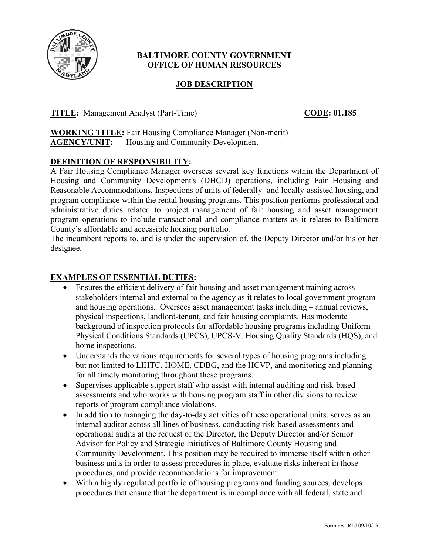

## **BALTIMORE COUNTY GOVERNMENT OFFICE OF HUMAN RESOURCES**

# **JOB DESCRIPTION**

**TITLE:** Management Analyst (Part-Time) **CODE:** 01.185

**WORKING TITLE:** Fair Housing Compliance Manager (Non-merit) **AGENCY/UNIT:** Housing and Community Development

# **DEFINITION OF RESPONSIBILITY:**

A Fair Housing Compliance Manager oversees several key functions within the Department of Housing and Community Development's (DHCD) operations, including Fair Housing and Reasonable Accommodations, Inspections of units of federally- and locally-assisted housing, and program compliance within the rental housing programs. This position performs professional and administrative duties related to project management of fair housing and asset management program operations to include transactional and compliance matters as it relates to Baltimore County's affordable and accessible housing portfolio.

The incumbent reports to, and is under the supervision of, the Deputy Director and/or his or her designee.

## **EXAMPLES OF ESSENTIAL DUTIES:**

- Ensures the efficient delivery of fair housing and asset management training across stakeholders internal and external to the agency as it relates to local government program and housing operations. Oversees asset management tasks including – annual reviews, physical inspections, landlord-tenant, and fair housing complaints. Has moderate background of inspection protocols for affordable housing programs including Uniform Physical Conditions Standards (UPCS), UPCS-V. Housing Quality Standards (HQS), and home inspections.
- Understands the various requirements for several types of housing programs including but not limited to LIHTC, HOME, CDBG, and the HCVP, and monitoring and planning for all timely monitoring throughout these programs.
- Supervises applicable support staff who assist with internal auditing and risk-based assessments and who works with housing program staff in other divisions to review reports of program compliance violations.
- In addition to managing the day-to-day activities of these operational units, serves as an internal auditor across all lines of business, conducting risk-based assessments and operational audits at the request of the Director, the Deputy Director and/or Senior Advisor for Policy and Strategic Initiatives of Baltimore County Housing and Community Development. This position may be required to immerse itself within other business units in order to assess procedures in place, evaluate risks inherent in those procedures, and provide recommendations for improvement.
- With a highly regulated portfolio of housing programs and funding sources, develops procedures that ensure that the department is in compliance with all federal, state and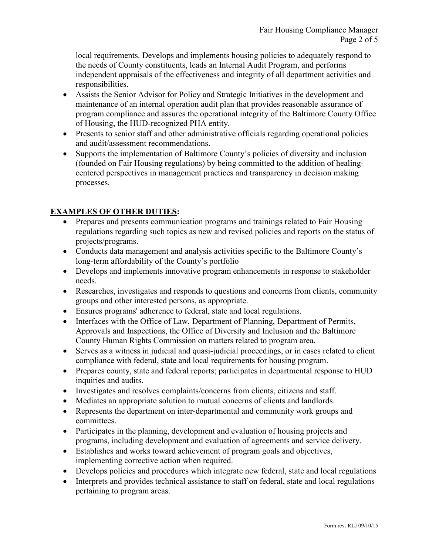local requirements. Develops and implements housing policies to adequately respond to the needs of County constituents, leads an Internal Audit Program, and performs independent appraisals of the effectiveness and integrity of all department activities and responsibilities.

- Assists the Senior Advisor for Policy and Strategic Initiatives in the development and maintenance of an internal operation audit plan that provides reasonable assurance of program compliance and assures the operational integrity of the Baltimore County Office of Housing, the HUD-recognized PHA entity.
- Presents to senior staff and other administrative officials regarding operational policies and audit/assessment recommendations.
- Supports the implementation of Baltimore County's policies of diversity and inclusion (founded on Fair Housing regulations) by being committed to the addition of healingcentered perspectives in management practices and transparency in decision making processes.

## **EXAMPLES OF OTHER DUTIES:**

- Prepares and presents communication programs and trainings related to Fair Housing regulations regarding such topics as new and revised policies and reports on the status of projects/programs.
- Conducts data management and analysis activities specific to the Baltimore County's long-term affordability of the County's portfolio
- Develops and implements innovative program enhancements in response to stakeholder needs.
- Researches, investigates and responds to questions and concerns from clients, community groups and other interested persons, as appropriate.
- Ensures programs' adherence to federal, state and local regulations.
- Interfaces with the Office of Law, Department of Planning, Department of Permits, Approvals and Inspections, the Office of Diversity and Inclusion and the Baltimore County Human Rights Commission on matters related to program area.
- Serves as a witness in judicial and quasi-judicial proceedings, or in cases related to client compliance with federal, state and local requirements for housing program.
- Prepares county, state and federal reports; participates in departmental response to HUD inquiries and audits.
- Investigates and resolves complaints/concerns from clients, citizens and staff.
- Mediates an appropriate solution to mutual concerns of clients and landlords.
- Represents the department on inter-departmental and community work groups and committees.
- Participates in the planning, development and evaluation of housing projects and programs, including development and evaluation of agreements and service delivery.
- Establishes and works toward achievement of program goals and objectives, implementing corrective action when required.
- Develops policies and procedures which integrate new federal, state and local regulations
- Interprets and provides technical assistance to staff on federal, state and local regulations pertaining to program areas.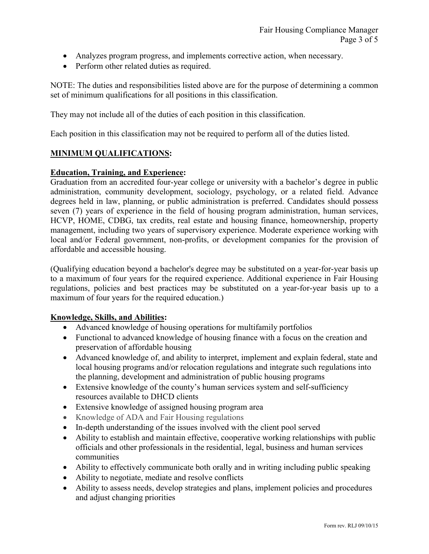- Analyzes program progress, and implements corrective action, when necessary.
- Perform other related duties as required.

NOTE: The duties and responsibilities listed above are for the purpose of determining a common set of minimum qualifications for all positions in this classification.

They may not include all of the duties of each position in this classification.

Each position in this classification may not be required to perform all of the duties listed.

#### **MINIMUM QUALIFICATIONS:**

#### **Education, Training, and Experience:**

Graduation from an accredited four-year college or university with a bachelor's degree in public administration, community development, sociology, psychology, or a related field. Advance degrees held in law, planning, or public administration is preferred. Candidates should possess seven (7) years of experience in the field of housing program administration, human services, HCVP, HOME, CDBG, tax credits, real estate and housing finance, homeownership, property management, including two years of supervisory experience. Moderate experience working with local and/or Federal government, non-profits, or development companies for the provision of affordable and accessible housing.

(Qualifying education beyond a bachelor's degree may be substituted on a year-for-year basis up to a maximum of four years for the required experience. Additional experience in Fair Housing regulations, policies and best practices may be substituted on a year-for-year basis up to a maximum of four years for the required education.)

#### **Knowledge, Skills, and Abilities:**

- Advanced knowledge of housing operations for multifamily portfolios
- Functional to advanced knowledge of housing finance with a focus on the creation and preservation of affordable housing
- Advanced knowledge of, and ability to interpret, implement and explain federal, state and local housing programs and/or relocation regulations and integrate such regulations into the planning, development and administration of public housing programs
- Extensive knowledge of the county's human services system and self-sufficiency resources available to DHCD clients
- Extensive knowledge of assigned housing program area
- Knowledge of ADA and Fair Housing regulations
- In-depth understanding of the issues involved with the client pool served
- Ability to establish and maintain effective, cooperative working relationships with public officials and other professionals in the residential, legal, business and human services communities
- Ability to effectively communicate both orally and in writing including public speaking
- Ability to negotiate, mediate and resolve conflicts
- Ability to assess needs, develop strategies and plans, implement policies and procedures and adjust changing priorities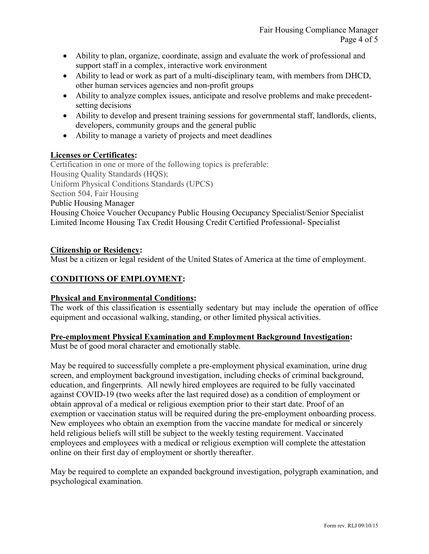- Ability to plan, organize, coordinate, assign and evaluate the work of professional and support staff in a complex, interactive work environment
- Ability to lead or work as part of a multi-disciplinary team, with members from DHCD, other human services agencies and non-profit groups
- Ability to analyze complex issues, anticipate and resolve problems and make precedentsetting decisions
- Ability to develop and present training sessions for governmental staff, landlords, clients, developers, community groups and the general public
- Ability to manage a variety of projects and meet deadlines

## **Licenses or Certificates:**

Certification in one or more of the following topics is preferable: Housing Quality Standards (HQS); Uniform Physical Conditions Standards (UPCS) Section 504, Fair Housing Public Housing Manager Housing Choice Voucher Occupancy Public Housing Occupancy Specialist/Senior Specialist Limited Income Housing Tax Credit Housing Credit Certified Professional- Specialist

## **Citizenship or Residency:**

Must be a citizen or legal resident of the United States of America at the time of employment.

# **CONDITIONS OF EMPLOYMENT:**

## **Physical and Environmental Conditions:**

The work of this classification is essentially sedentary but may include the operation of office equipment and occasional walking, standing, or other limited physical activities.

## **Pre-employment Physical Examination and Employment Background Investigation:**

Must be of good moral character and emotionally stable.

May be required to successfully complete a pre-employment physical examination, urine drug screen, and employment background investigation, including checks of criminal background, education, and fingerprints. All newly hired employees are required to be fully vaccinated against COVID-19 (two weeks after the last required dose) as a condition of employment or obtain approval of a medical or religious exemption prior to their start date. Proof of an exemption or vaccination status will be required during the pre-employment onboarding process. New employees who obtain an exemption from the vaccine mandate for medical or sincerely held religious beliefs will still be subject to the weekly testing requirement. Vaccinated employees and employees with a medical or religious exemption will complete the attestation online on their first day of employment or shortly thereafter.

May be required to complete an expanded background investigation, polygraph examination, and psychological examination.